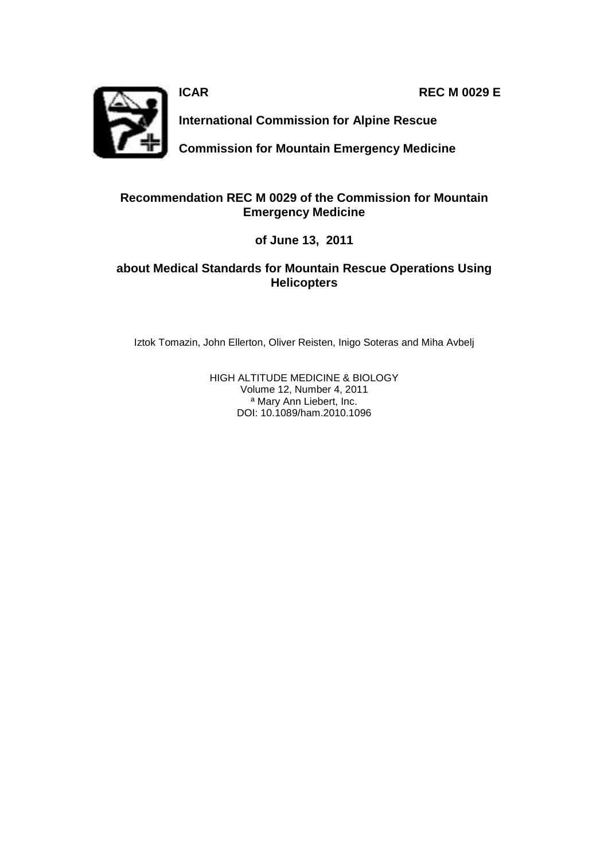**ICAR REC M 0029 E** 



**International Commission for Alpine Rescue** 

**Commission for Mountain Emergency Medicine**

# **Recommendation REC M 0029 of the Commission for Mountain Emergency Medicine**

**of June 13, 2011** 

# **about Medical Standards for Mountain Rescue Operations Using Helicopters**

Iztok Tomazin, John Ellerton, Oliver Reisten, Inigo Soteras and Miha Avbelj

HIGH ALTITUDE MEDICINE & BIOLOGY Volume 12, Number 4, 2011 ª Mary Ann Liebert, Inc. DOI: 10.1089/ham.2010.1096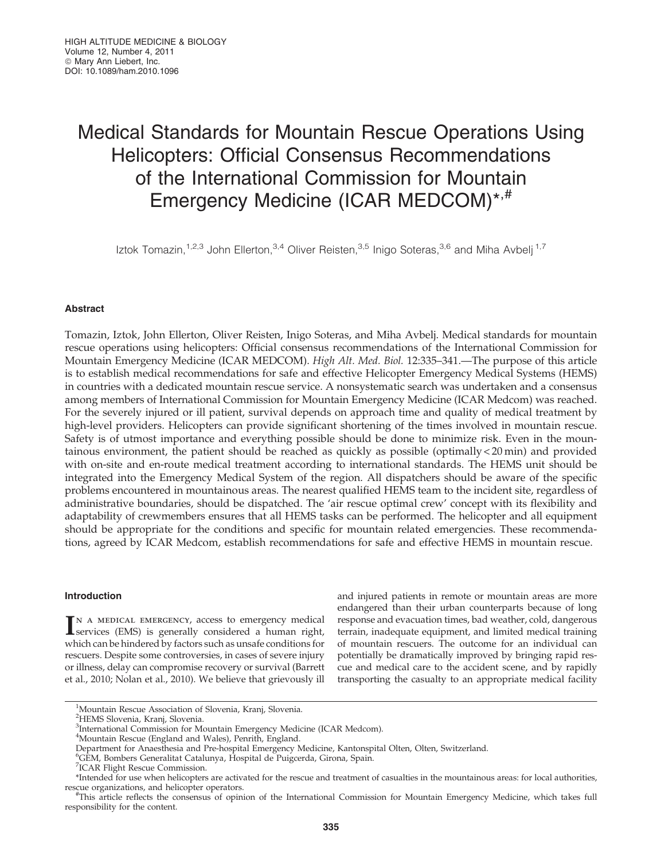# Medical Standards for Mountain Rescue Operations Using Helicopters: Official Consensus Recommendations of the International Commission for Mountain Emergency Medicine (ICAR MEDCOM)\*<sup>,#</sup>

Iztok Tomazin,<sup>1,2,3</sup> John Ellerton,<sup>3,4</sup> Oliver Reisten,<sup>3,5</sup> Inigo Soteras,<sup>3,6</sup> and Miha Avbelj<sup>1,7</sup>

# Abstract

Tomazin, Iztok, John Ellerton, Oliver Reisten, Inigo Soteras, and Miha Avbelj. Medical standards for mountain rescue operations using helicopters: Official consensus recommendations of the International Commission for Mountain Emergency Medicine (ICAR MEDCOM). High Alt. Med. Biol. 12:335–341.—The purpose of this article is to establish medical recommendations for safe and effective Helicopter Emergency Medical Systems (HEMS) in countries with a dedicated mountain rescue service. A nonsystematic search was undertaken and a consensus among members of International Commission for Mountain Emergency Medicine (ICAR Medcom) was reached. For the severely injured or ill patient, survival depends on approach time and quality of medical treatment by high-level providers. Helicopters can provide significant shortening of the times involved in mountain rescue. Safety is of utmost importance and everything possible should be done to minimize risk. Even in the mountainous environment, the patient should be reached as quickly as possible (optimally < 20 min) and provided with on-site and en-route medical treatment according to international standards. The HEMS unit should be integrated into the Emergency Medical System of the region. All dispatchers should be aware of the specific problems encountered in mountainous areas. The nearest qualified HEMS team to the incident site, regardless of administrative boundaries, should be dispatched. The 'air rescue optimal crew' concept with its flexibility and adaptability of crewmembers ensures that all HEMS tasks can be performed. The helicopter and all equipment should be appropriate for the conditions and specific for mountain related emergencies. These recommendations, agreed by ICAR Medcom, establish recommendations for safe and effective HEMS in mountain rescue.

# Introduction

IN A MEDICAL EMERGENCY, access to emergency medical<br>services (EMS) is generally considered a human right, services (EMS) is generally considered a human right, which can be hindered by factors such as unsafe conditions for rescuers. Despite some controversies, in cases of severe injury or illness, delay can compromise recovery or survival (Barrett et al., 2010; Nolan et al., 2010). We believe that grievously ill and injured patients in remote or mountain areas are more endangered than their urban counterparts because of long response and evacuation times, bad weather, cold, dangerous terrain, inadequate equipment, and limited medical training of mountain rescuers. The outcome for an individual can potentially be dramatically improved by bringing rapid rescue and medical care to the accident scene, and by rapidly transporting the casualty to an appropriate medical facility

<sup>1</sup> Mountain Rescue Association of Slovenia, Kranj, Slovenia.

<sup>2</sup> HEMS Slovenia, Kranj, Slovenia.

<sup>&</sup>lt;sup>3</sup>International Commission for Mountain Emergency Medicine (ICAR Medcom).

<sup>4</sup> Mountain Rescue (England and Wales), Penrith, England.

Department for Anaesthesia and Pre-hospital Emergency Medicine, Kantonspital Olten, Olten, Switzerland.

<sup>6</sup> GEM, Bombers Generalitat Catalunya, Hospital de Puigcerda, Girona, Spain.

<sup>&</sup>lt;sup>7</sup>ICAR Flight Rescue Commission.

<sup>\*</sup>Intended for use when helicopters are activated for the rescue and treatment of casualties in the mountainous areas: for local authorities, rescue organizations, and helicopter operators.

This article reflects the consensus of opinion of the International Commission for Mountain Emergency Medicine, which takes full responsibility for the content.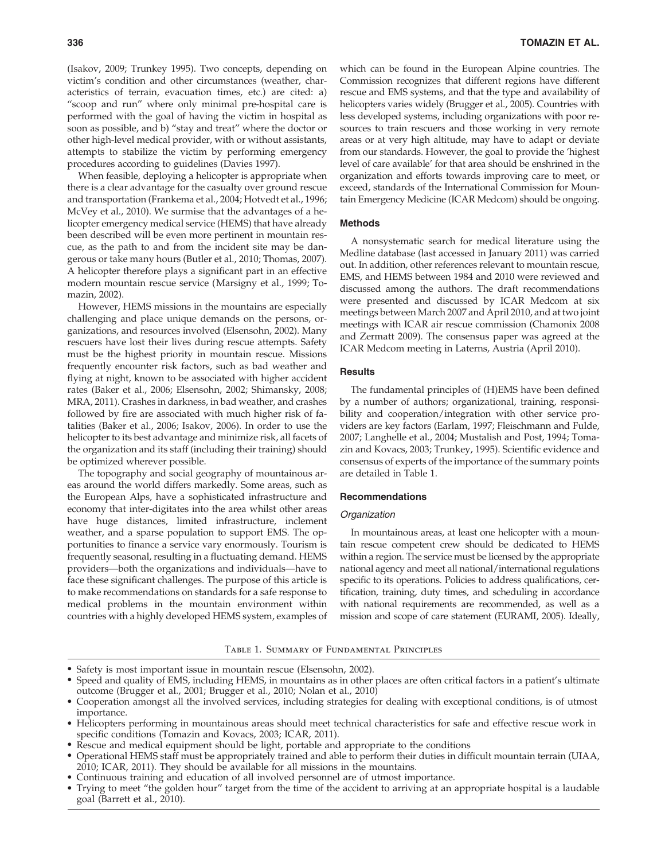(Isakov, 2009; Trunkey 1995). Two concepts, depending on victim's condition and other circumstances (weather, characteristics of terrain, evacuation times, etc.) are cited: a) ''scoop and run'' where only minimal pre-hospital care is performed with the goal of having the victim in hospital as soon as possible, and b) ''stay and treat'' where the doctor or other high-level medical provider, with or without assistants, attempts to stabilize the victim by performing emergency procedures according to guidelines (Davies 1997).

When feasible, deploying a helicopter is appropriate when there is a clear advantage for the casualty over ground rescue and transportation (Frankema et al., 2004; Hotvedt et al., 1996; McVey et al., 2010). We surmise that the advantages of a helicopter emergency medical service (HEMS) that have already been described will be even more pertinent in mountain rescue, as the path to and from the incident site may be dangerous or take many hours (Butler et al., 2010; Thomas, 2007). A helicopter therefore plays a significant part in an effective modern mountain rescue service (Marsigny et al., 1999; Tomazin, 2002).

However, HEMS missions in the mountains are especially challenging and place unique demands on the persons, organizations, and resources involved (Elsensohn, 2002). Many rescuers have lost their lives during rescue attempts. Safety must be the highest priority in mountain rescue. Missions frequently encounter risk factors, such as bad weather and flying at night, known to be associated with higher accident rates (Baker et al., 2006; Elsensohn, 2002; Shimansky, 2008; MRA, 2011). Crashes in darkness, in bad weather, and crashes followed by fire are associated with much higher risk of fatalities (Baker et al., 2006; Isakov, 2006). In order to use the helicopter to its best advantage and minimize risk, all facets of the organization and its staff (including their training) should be optimized wherever possible.

The topography and social geography of mountainous areas around the world differs markedly. Some areas, such as the European Alps, have a sophisticated infrastructure and economy that inter-digitates into the area whilst other areas have huge distances, limited infrastructure, inclement weather, and a sparse population to support EMS. The opportunities to finance a service vary enormously. Tourism is frequently seasonal, resulting in a fluctuating demand. HEMS providers—both the organizations and individuals—have to face these significant challenges. The purpose of this article is to make recommendations on standards for a safe response to medical problems in the mountain environment within countries with a highly developed HEMS system, examples of which can be found in the European Alpine countries. The Commission recognizes that different regions have different rescue and EMS systems, and that the type and availability of helicopters varies widely (Brugger et al., 2005). Countries with less developed systems, including organizations with poor resources to train rescuers and those working in very remote areas or at very high altitude, may have to adapt or deviate from our standards. However, the goal to provide the 'highest level of care available' for that area should be enshrined in the organization and efforts towards improving care to meet, or exceed, standards of the International Commission for Mountain Emergency Medicine (ICAR Medcom) should be ongoing.

#### Methods

A nonsystematic search for medical literature using the Medline database (last accessed in January 2011) was carried out. In addition, other references relevant to mountain rescue, EMS, and HEMS between 1984 and 2010 were reviewed and discussed among the authors. The draft recommendations were presented and discussed by ICAR Medcom at six meetings between March 2007 and April 2010, and at two joint meetings with ICAR air rescue commission (Chamonix 2008 and Zermatt 2009). The consensus paper was agreed at the ICAR Medcom meeting in Laterns, Austria (April 2010).

#### **Results**

The fundamental principles of (H)EMS have been defined by a number of authors; organizational, training, responsibility and cooperation/integration with other service providers are key factors (Earlam, 1997; Fleischmann and Fulde, 2007; Langhelle et al., 2004; Mustalish and Post, 1994; Tomazin and Kovacs, 2003; Trunkey, 1995). Scientific evidence and consensus of experts of the importance of the summary points are detailed in Table 1.

#### Recommendations

#### **Organization**

In mountainous areas, at least one helicopter with a mountain rescue competent crew should be dedicated to HEMS within a region. The service must be licensed by the appropriate national agency and meet all national/international regulations specific to its operations. Policies to address qualifications, certification, training, duty times, and scheduling in accordance with national requirements are recommended, as well as a mission and scope of care statement (EURAMI, 2005). Ideally,

## Table 1. Summary of Fundamental Principles

- -Safety is most important issue in mountain rescue (Elsensohn, 2002).
- $\bullet$  Speed and quality of EMS, including HEMS, in mountains as in other places are often critical factors in a patient's ultimate outcome (Brugger et al., 2001; Brugger et al., 2010; Nolan et al., 2010)
- $\bullet$  Cooperation amongst all the involved services, including strategies for dealing with exceptional conditions, is of utmost importance.
- - Helicopters performing in mountainous areas should meet technical characteristics for safe and effective rescue work in specific conditions (Tomazin and Kovacs, 2003; ICAR, 2011).
- -Rescue and medical equipment should be light, portable and appropriate to the conditions
- - Operational HEMS staff must be appropriately trained and able to perform their duties in difficult mountain terrain (UIAA, 2010; ICAR, 2011). They should be available for all missions in the mountains.
- -Continuous training and education of all involved personnel are of utmost importance.
- - Trying to meet ''the golden hour'' target from the time of the accident to arriving at an appropriate hospital is a laudable goal (Barrett et al., 2010).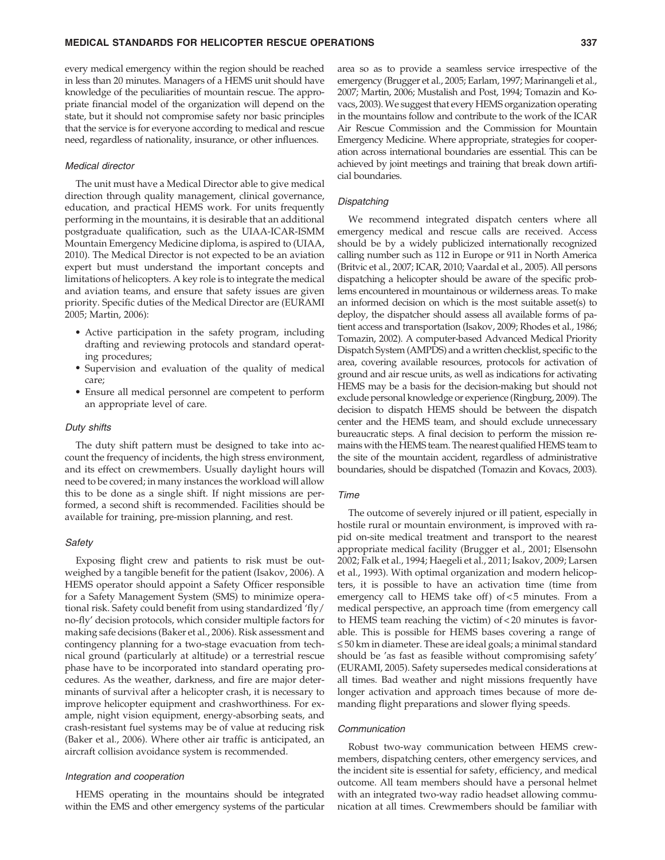every medical emergency within the region should be reached in less than 20 minutes. Managers of a HEMS unit should have knowledge of the peculiarities of mountain rescue. The appropriate financial model of the organization will depend on the state, but it should not compromise safety nor basic principles that the service is for everyone according to medical and rescue need, regardless of nationality, insurance, or other influences.

#### Medical director

The unit must have a Medical Director able to give medical direction through quality management, clinical governance, education, and practical HEMS work. For units frequently performing in the mountains, it is desirable that an additional postgraduate qualification, such as the UIAA-ICAR-ISMM Mountain Emergency Medicine diploma, is aspired to (UIAA, 2010). The Medical Director is not expected to be an aviation expert but must understand the important concepts and limitations of helicopters. A key role is to integrate the medical and aviation teams, and ensure that safety issues are given priority. Specific duties of the Medical Director are (EURAMI 2005; Martin, 2006):

- Active participation in the safety program, including drafting and reviewing protocols and standard operating procedures;
- Supervision and evaluation of the quality of medical care;
- Ensure all medical personnel are competent to perform an appropriate level of care.

#### Duty shifts

The duty shift pattern must be designed to take into account the frequency of incidents, the high stress environment, and its effect on crewmembers. Usually daylight hours will need to be covered; in many instances the workload will allow this to be done as a single shift. If night missions are performed, a second shift is recommended. Facilities should be available for training, pre-mission planning, and rest.

#### **Safety**

Exposing flight crew and patients to risk must be outweighed by a tangible benefit for the patient (Isakov, 2006). A HEMS operator should appoint a Safety Officer responsible for a Safety Management System (SMS) to minimize operational risk. Safety could benefit from using standardized 'fly/ no-fly' decision protocols, which consider multiple factors for making safe decisions (Baker et al., 2006). Risk assessment and contingency planning for a two-stage evacuation from technical ground (particularly at altitude) or a terrestrial rescue phase have to be incorporated into standard operating procedures. As the weather, darkness, and fire are major determinants of survival after a helicopter crash, it is necessary to improve helicopter equipment and crashworthiness. For example, night vision equipment, energy-absorbing seats, and crash-resistant fuel systems may be of value at reducing risk (Baker et al., 2006). Where other air traffic is anticipated, an aircraft collision avoidance system is recommended.

#### Integration and cooperation

HEMS operating in the mountains should be integrated within the EMS and other emergency systems of the particular area so as to provide a seamless service irrespective of the emergency (Brugger et al., 2005; Earlam, 1997; Marinangeli et al., 2007; Martin, 2006; Mustalish and Post, 1994; Tomazin and Kovacs, 2003). We suggest that every HEMS organization operating in the mountains follow and contribute to the work of the ICAR Air Rescue Commission and the Commission for Mountain Emergency Medicine. Where appropriate, strategies for cooperation across international boundaries are essential. This can be achieved by joint meetings and training that break down artificial boundaries.

#### Dispatching

We recommend integrated dispatch centers where all emergency medical and rescue calls are received. Access should be by a widely publicized internationally recognized calling number such as 112 in Europe or 911 in North America (Britvic et al., 2007; ICAR, 2010; Vaardal et al., 2005). All persons dispatching a helicopter should be aware of the specific problems encountered in mountainous or wilderness areas. To make an informed decision on which is the most suitable asset(s) to deploy, the dispatcher should assess all available forms of patient access and transportation (Isakov, 2009; Rhodes et al., 1986; Tomazin, 2002). A computer-based Advanced Medical Priority Dispatch System (AMPDS) and a written checklist, specific to the area, covering available resources, protocols for activation of ground and air rescue units, as well as indications for activating HEMS may be a basis for the decision-making but should not exclude personal knowledge or experience (Ringburg, 2009). The decision to dispatch HEMS should be between the dispatch center and the HEMS team, and should exclude unnecessary bureaucratic steps. A final decision to perform the mission remains with the HEMS team. The nearest qualified HEMS team to the site of the mountain accident, regardless of administrative boundaries, should be dispatched (Tomazin and Kovacs, 2003).

#### Time

The outcome of severely injured or ill patient, especially in hostile rural or mountain environment, is improved with rapid on-site medical treatment and transport to the nearest appropriate medical facility (Brugger et al., 2001; Elsensohn 2002; Falk et al., 1994; Haegeli et al., 2011; Isakov, 2009; Larsen et al., 1993). With optimal organization and modern helicopters, it is possible to have an activation time (time from emergency call to HEMS take off) of  $<$  5 minutes. From a medical perspective, an approach time (from emergency call to HEMS team reaching the victim) of < 20 minutes is favorable. This is possible for HEMS bases covering a range of  $\leq$  50 km in diameter. These are ideal goals; a minimal standard should be 'as fast as feasible without compromising safety' (EURAMI, 2005). Safety supersedes medical considerations at all times. Bad weather and night missions frequently have longer activation and approach times because of more demanding flight preparations and slower flying speeds.

#### Communication

Robust two-way communication between HEMS crewmembers, dispatching centers, other emergency services, and the incident site is essential for safety, efficiency, and medical outcome. All team members should have a personal helmet with an integrated two-way radio headset allowing communication at all times. Crewmembers should be familiar with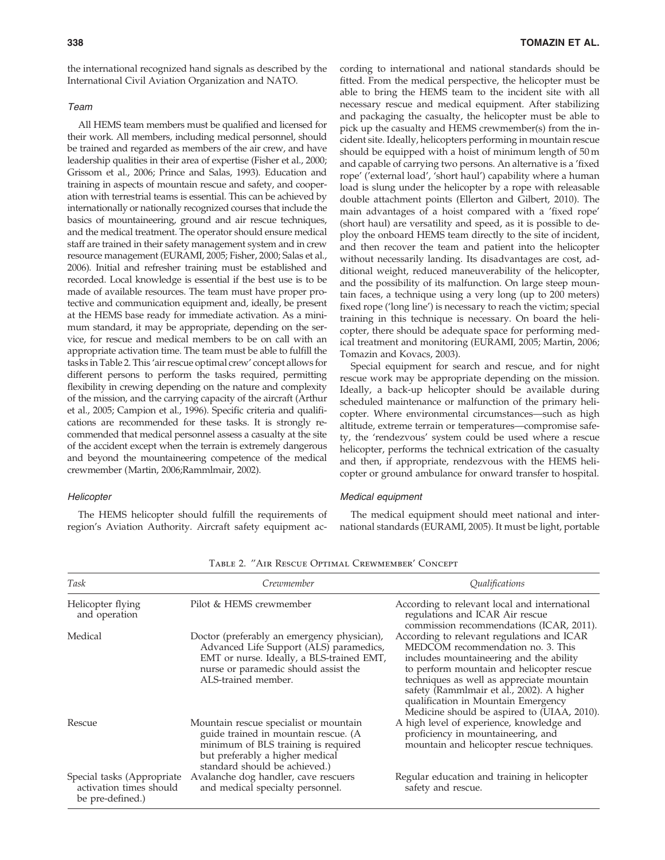the international recognized hand signals as described by the International Civil Aviation Organization and NATO.

## Team

All HEMS team members must be qualified and licensed for their work. All members, including medical personnel, should be trained and regarded as members of the air crew, and have leadership qualities in their area of expertise (Fisher et al., 2000; Grissom et al., 2006; Prince and Salas, 1993). Education and training in aspects of mountain rescue and safety, and cooperation with terrestrial teams is essential. This can be achieved by internationally or nationally recognized courses that include the basics of mountaineering, ground and air rescue techniques, and the medical treatment. The operator should ensure medical staff are trained in their safety management system and in crew resource management (EURAMI, 2005; Fisher, 2000; Salas et al., 2006). Initial and refresher training must be established and recorded. Local knowledge is essential if the best use is to be made of available resources. The team must have proper protective and communication equipment and, ideally, be present at the HEMS base ready for immediate activation. As a minimum standard, it may be appropriate, depending on the service, for rescue and medical members to be on call with an appropriate activation time. The team must be able to fulfill the tasks in Table 2. This 'air rescue optimal crew' concept allows for different persons to perform the tasks required, permitting flexibility in crewing depending on the nature and complexity of the mission, and the carrying capacity of the aircraft (Arthur et al., 2005; Campion et al., 1996). Specific criteria and qualifications are recommended for these tasks. It is strongly recommended that medical personnel assess a casualty at the site of the accident except when the terrain is extremely dangerous and beyond the mountaineering competence of the medical crewmember (Martin, 2006;Rammlmair, 2002).

#### **Helicopter**

The HEMS helicopter should fulfill the requirements of region's Aviation Authority. Aircraft safety equipment according to international and national standards should be fitted. From the medical perspective, the helicopter must be able to bring the HEMS team to the incident site with all necessary rescue and medical equipment. After stabilizing and packaging the casualty, the helicopter must be able to pick up the casualty and HEMS crewmember(s) from the incident site. Ideally, helicopters performing in mountain rescue should be equipped with a hoist of minimum length of 50 m and capable of carrying two persons. An alternative is a 'fixed rope' ('external load', 'short haul') capability where a human load is slung under the helicopter by a rope with releasable double attachment points (Ellerton and Gilbert, 2010). The main advantages of a hoist compared with a 'fixed rope' (short haul) are versatility and speed, as it is possible to deploy the onboard HEMS team directly to the site of incident, and then recover the team and patient into the helicopter without necessarily landing. Its disadvantages are cost, additional weight, reduced maneuverability of the helicopter, and the possibility of its malfunction. On large steep mountain faces, a technique using a very long (up to 200 meters) fixed rope ('long line') is necessary to reach the victim; special training in this technique is necessary. On board the helicopter, there should be adequate space for performing medical treatment and monitoring (EURAMI, 2005; Martin, 2006; Tomazin and Kovacs, 2003).

Special equipment for search and rescue, and for night rescue work may be appropriate depending on the mission. Ideally, a back-up helicopter should be available during scheduled maintenance or malfunction of the primary helicopter. Where environmental circumstances—such as high altitude, extreme terrain or temperatures—compromise safety, the 'rendezvous' system could be used where a rescue helicopter, performs the technical extrication of the casualty and then, if appropriate, rendezvous with the HEMS helicopter or ground ambulance for onward transfer to hospital.

#### Medical equipment

The medical equipment should meet national and international standards (EURAMI, 2005). It must be light, portable

| Task                                                                      | Crewmember                                                                                                                                                                                         | Qualifications                                                                                                                                                                                                                                                                                                                                          |
|---------------------------------------------------------------------------|----------------------------------------------------------------------------------------------------------------------------------------------------------------------------------------------------|---------------------------------------------------------------------------------------------------------------------------------------------------------------------------------------------------------------------------------------------------------------------------------------------------------------------------------------------------------|
| Helicopter flying<br>and operation                                        | Pilot & HEMS crewmember                                                                                                                                                                            | According to relevant local and international<br>regulations and ICAR Air rescue<br>commission recommendations (ICAR, 2011).                                                                                                                                                                                                                            |
| Medical                                                                   | Doctor (preferably an emergency physician),<br>Advanced Life Support (ALS) paramedics,<br>EMT or nurse. Ideally, a BLS-trained EMT,<br>nurse or paramedic should assist the<br>ALS-trained member. | According to relevant regulations and ICAR<br>MEDCOM recommendation no. 3. This<br>includes mountaineering and the ability<br>to perform mountain and helicopter rescue<br>techniques as well as appreciate mountain<br>safety (Rammlmair et al., 2002). A higher<br>qualification in Mountain Emergency<br>Medicine should be aspired to (UIAA, 2010). |
| Rescue                                                                    | Mountain rescue specialist or mountain<br>guide trained in mountain rescue. (A<br>minimum of BLS training is required<br>but preferably a higher medical<br>standard should be achieved.)          | A high level of experience, knowledge and<br>proficiency in mountaineering, and<br>mountain and helicopter rescue techniques.                                                                                                                                                                                                                           |
| Special tasks (Appropriate<br>activation times should<br>be pre-defined.) | Avalanche dog handler, cave rescuers<br>and medical specialty personnel.                                                                                                                           | Regular education and training in helicopter<br>safety and rescue.                                                                                                                                                                                                                                                                                      |

Table 2. ''Air Rescue Optimal Crewmember' Concept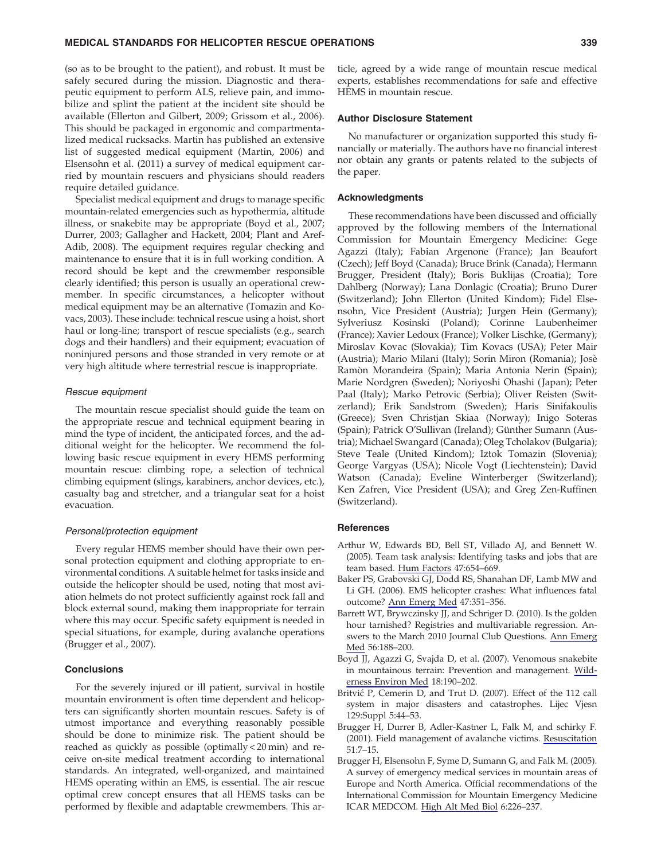## MEDICAL STANDARDS FOR HELICOPTER RESCUE OPERATIONS 339

(so as to be brought to the patient), and robust. It must be safely secured during the mission. Diagnostic and therapeutic equipment to perform ALS, relieve pain, and immobilize and splint the patient at the incident site should be available (Ellerton and Gilbert, 2009; Grissom et al., 2006). This should be packaged in ergonomic and compartmentalized medical rucksacks. Martin has published an extensive list of suggested medical equipment (Martin, 2006) and Elsensohn et al. (2011) a survey of medical equipment carried by mountain rescuers and physicians should readers require detailed guidance.

Specialist medical equipment and drugs to manage specific mountain-related emergencies such as hypothermia, altitude illness, or snakebite may be appropriate (Boyd et al., 2007; Durrer, 2003; Gallagher and Hackett, 2004; Plant and Aref-Adib, 2008). The equipment requires regular checking and maintenance to ensure that it is in full working condition. A record should be kept and the crewmember responsible clearly identified; this person is usually an operational crewmember. In specific circumstances, a helicopter without medical equipment may be an alternative (Tomazin and Kovacs, 2003). These include: technical rescue using a hoist, short haul or long-line; transport of rescue specialists (e.g., search dogs and their handlers) and their equipment; evacuation of noninjured persons and those stranded in very remote or at very high altitude where terrestrial rescue is inappropriate.

#### Rescue equipment

The mountain rescue specialist should guide the team on the appropriate rescue and technical equipment bearing in mind the type of incident, the anticipated forces, and the additional weight for the helicopter. We recommend the following basic rescue equipment in every HEMS performing mountain rescue: climbing rope, a selection of technical climbing equipment (slings, karabiners, anchor devices, etc.), casualty bag and stretcher, and a triangular seat for a hoist evacuation.

#### Personal/protection equipment

Every regular HEMS member should have their own personal protection equipment and clothing appropriate to environmental conditions. A suitable helmet for tasks inside and outside the helicopter should be used, noting that most aviation helmets do not protect sufficiently against rock fall and block external sound, making them inappropriate for terrain where this may occur. Specific safety equipment is needed in special situations, for example, during avalanche operations (Brugger et al., 2007).

#### **Conclusions**

For the severely injured or ill patient, survival in hostile mountain environment is often time dependent and helicopters can significantly shorten mountain rescues. Safety is of utmost importance and everything reasonably possible should be done to minimize risk. The patient should be reached as quickly as possible (optimally < 20 min) and receive on-site medical treatment according to international standards. An integrated, well-organized, and maintained HEMS operating within an EMS, is essential. The air rescue optimal crew concept ensures that all HEMS tasks can be performed by flexible and adaptable crewmembers. This ar-

ticle, agreed by a wide range of mountain rescue medical experts, establishes recommendations for safe and effective HEMS in mountain rescue.

#### Author Disclosure Statement

No manufacturer or organization supported this study financially or materially. The authors have no financial interest nor obtain any grants or patents related to the subjects of the paper.

#### Acknowledgments

These recommendations have been discussed and officially approved by the following members of the International Commission for Mountain Emergency Medicine: Gege Agazzi (Italy); Fabian Argenone (France); Jan Beaufort (Czech); Jeff Boyd (Canada); Bruce Brink (Canada); Hermann Brugger, President (Italy); Boris Buklijas (Croatia); Tore Dahlberg (Norway); Lana Donlagic (Croatia); Bruno Durer (Switzerland); John Ellerton (United Kindom); Fidel Elsensohn, Vice President (Austria); Jurgen Hein (Germany); Sylveriusz Kosinski (Poland); Corinne Laubenheimer (France); Xavier Ledoux (France); Volker Lischke, (Germany); Miroslav Kovac (Slovakia); Tim Kovacs (USA); Peter Mair (Austria); Mario Milani (Italy); Sorin Miron (Romania); Jose` Ramòn Morandeira (Spain); Maria Antonia Nerin (Spain); Marie Nordgren (Sweden); Noriyoshi Ohashi ( Japan); Peter Paal (Italy); Marko Petrovic (Serbia); Oliver Reisten (Switzerland); Erik Sandstrom (Sweden); Haris Sinifakoulis (Greece); Sven Christjan Skiaa (Norway); Inigo Soteras (Spain); Patrick O'Sullivan (Ireland); Günther Sumann (Austria); Michael Swangard (Canada); Oleg Tcholakov (Bulgaria); Steve Teale (United Kindom); Iztok Tomazin (Slovenia); George Vargyas (USA); Nicole Vogt (Liechtenstein); David Watson (Canada); Eveline Winterberger (Switzerland); Ken Zafren, Vice President (USA); and Greg Zen-Ruffinen (Switzerland).

#### **References**

- Arthur W, Edwards BD, Bell ST, Villado AJ, and Bennett W. (2005). Team task analysis: Identifying tasks and jobs that are team based. Hum Factors 47:654–669.
- Baker PS, Grabovski GJ, Dodd RS, Shanahan DF, Lamb MW and Li GH. (2006). EMS helicopter crashes: What influences fatal outcome? Ann Emerg Med 47:351–356.
- Barrett WT, Brywczinsky JJ, and Schriger D. (2010). Is the golden hour tarnished? Registries and multivariable regression. Answers to the March 2010 Journal Club Questions. Ann Emerg Med 56:188–200.
- Boyd JJ, Agazzi G, Svajda D, et al. (2007). Venomous snakebite in mountainous terrain: Prevention and management. Wilderness Environ Med 18:190–202.
- Britvić P, Cemerin D, and Trut D. (2007). Effect of the 112 call system in major disasters and catastrophes. Lijec Vjesn 129:Suppl 5:44–53.
- Brugger H, Durrer B, Adler-Kastner L, Falk M, and schirky F. (2001). Field management of avalanche victims. Resuscitation 51:7–15.
- Brugger H, Elsensohn F, Syme D, Sumann G, and Falk M. (2005). A survey of emergency medical services in mountain areas of Europe and North America. Official recommendations of the International Commission for Mountain Emergency Medicine ICAR MEDCOM. High Alt Med Biol 6:226–237.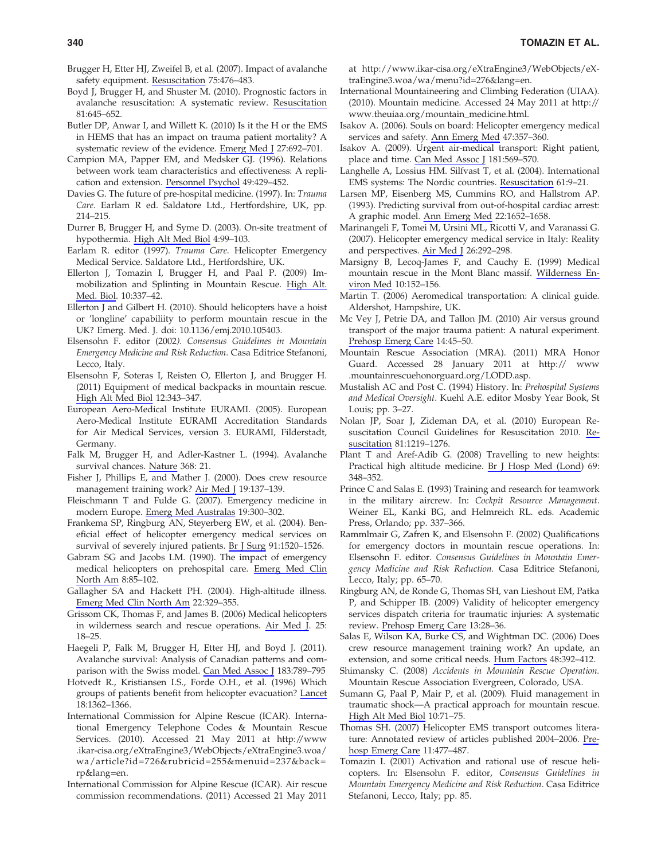- Brugger H, Etter HJ, Zweifel B, et al. (2007). Impact of avalanche safety equipment. Resuscitation 75:476–483.
- Boyd J, Brugger H, and Shuster M. (2010). Prognostic factors in avalanche resuscitation: A systematic review. Resuscitation 81:645–652.
- Butler DP, Anwar I, and Willett K. (2010) Is it the H or the EMS in HEMS that has an impact on trauma patient mortality? A systematic review of the evidence. Emerg Med J 27:692–701.
- Campion MA, Papper EM, and Medsker GJ. (1996). Relations between work team characteristics and effectiveness: A replication and extension. Personnel Psychol 49:429–452.
- Davies G. The future of pre-hospital medicine. (1997). In: Trauma Care. Earlam R ed. Saldatore Ltd., Hertfordshire, UK, pp. 214–215.
- Durrer B, Brugger H, and Syme D. (2003). On-site treatment of hypothermia. High Alt Med Biol 4:99–103.
- Earlam R. editor (1997). Trauma Care. Helicopter Emergency Medical Service. Saldatore Ltd., Hertfordshire, UK.
- Ellerton J, Tomazin I, Brugger H, and Paal P. (2009) Immobilization and Splinting in Mountain Rescue. High Alt. Med. Biol. 10:337–42.
- Ellerton J and Gilbert H. (2010). Should helicopters have a hoist or 'longline' capabiliity to perform mountain rescue in the UK? Emerg. Med. J. doi: 10.1136/emj.2010.105403.
- Elsensohn F. editor (2002). Consensus Guidelines in Mountain Emergency Medicine and Risk Reduction. Casa Editrice Stefanoni, Lecco, Italy.
- Elsensohn F, Soteras I, Reisten O, Ellerton J, and Brugger H. (2011) Equipment of medical backpacks in mountain rescue. High Alt Med Biol 12:343–347.
- European Aero-Medical Institute EURAMI. (2005). European Aero-Medical Institute EURAMI Accreditation Standards for Air Medical Services, version 3. EURAMI, Filderstadt, Germany.
- Falk M, Brugger H, and Adler-Kastner L. (1994). Avalanche survival chances. Nature 368: 21.
- Fisher J, Phillips E, and Mather J. (2000). Does crew resource management training work? Air Med J 19:137–139.
- Fleischmann T and Fulde G. (2007). Emergency medicine in modern Europe. Emerg Med Australas 19:300–302.
- Frankema SP, Ringburg AN, Steyerberg EW, et al. (2004). Beneficial effect of helicopter emergency medical services on survival of severely injured patients. Br J Surg 91:1520–1526.
- Gabram SG and Jacobs LM. (1990). The impact of emergency medical helicopters on prehospital care. Emerg Med Clin North Am 8:85–102.
- Gallagher SA and Hackett PH. (2004). High-altitude illness. Emerg Med Clin North Am 22:329–355.
- Grissom CK, Thomas F, and James B. (2006) Medical helicopters in wilderness search and rescue operations. Air Med J. 25: 18–25.
- Haegeli P, Falk M, Brugger H, Etter HJ, and Boyd J. (2011). Avalanche survival: Analysis of Canadian patterns and comparison with the Swiss model. Can Med Assoc J 183:789–795
- Hotvedt R., Kristiansen I.S., Forde O.H., et al. (1996) Which groups of patients benefit from helicopter evacuation? Lancet 18:1362–1366.
- International Commission for Alpine Rescue (ICAR). International Emergency Telephone Codes & Mountain Rescue Services. (2010). Accessed 21 May 2011 at http://www .ikar-cisa.org/eXtraEngine3/WebObjects/eXtraEngine3.woa/ wa/article?id=726&rubricid=255&menuid=237&back= rp&lang=en.
- International Commission for Alpine Rescue (ICAR). Air rescue commission recommendations. (2011) Accessed 21 May 2011

at http://www.ikar-cisa.org/eXtraEngine3/WebObjects/eXtraEngine3.woa/wa/menu?id=276&lang=en.

- International Mountaineering and Climbing Federation (UIAA). (2010). Mountain medicine. Accessed 24 May 2011 at http:// www.theuiaa.org/mountain\_medicine.html.
- Isakov A. (2006). Souls on board: Helicopter emergency medical services and safety. Ann Emerg Med 47:357–360.
- Isakov A. (2009). Urgent air-medical transport: Right patient, place and time. Can Med Assoc J 181:569–570.
- Langhelle A, Lossius HM. Silfvast T, et al. (2004). International EMS systems: The Nordic countries. Resuscitation 61:9–21.
- Larsen MP, Eisenberg MS, Cummins RO, and Hallstrom AP. (1993). Predicting survival from out-of-hospital cardiac arrest: A graphic model. Ann Emerg Med 22:1652–1658.
- Marinangeli F, Tomei M, Ursini ML, Ricotti V, and Varanassi G. (2007). Helicopter emergency medical service in Italy: Reality and perspectives. Air Med J 26:292–298.
- Marsigny B, Lecoq-James F, and Cauchy E. (1999) Medical mountain rescue in the Mont Blanc massif. Wilderness Environ Med 10:152–156.
- Martin T. (2006) Aeromedical transportation: A clinical guide. Aldershot, Hampshire, UK.
- Mc Vey J, Petrie DA, and Tallon JM. (2010) Air versus ground transport of the major trauma patient: A natural experiment. Prehosp Emerg Care 14:45–50.
- Mountain Rescue Association (MRA). (2011) MRA Honor Guard. Accessed 28 January 2011 at http:// www .mountainrescuehonorguard.org/LODD.asp.
- Mustalish AC and Post C. (1994) History. In: Prehospital Systems and Medical Oversight. Kuehl A.E. editor Mosby Year Book, St Louis; pp. 3–27.
- Nolan JP, Soar J, Zideman DA, et al. (2010) European Resuscitation Council Guidelines for Resuscitation 2010. Resuscitation 81:1219–1276.
- Plant T and Aref-Adib G. (2008) Travelling to new heights: Practical high altitude medicine. Br J Hosp Med (Lond) 69: 348–352.
- Prince C and Salas E. (1993) Training and research for teamwork in the military aircrew. In: Cockpit Resource Management. Weiner EL, Kanki BG, and Helmreich RL. eds. Academic Press, Orlando; pp. 337–366.
- Rammlmair G, Zafren K, and Elsensohn F. (2002) Qualifications for emergency doctors in mountain rescue operations. In: Elsensohn F. editor. Consensus Guidelines in Mountain Emergency Medicine and Risk Reduction. Casa Editrice Stefanoni, Lecco, Italy; pp. 65–70.
- Ringburg AN, de Ronde G, Thomas SH, van Lieshout EM, Patka P, and Schipper IB. (2009) Validity of helicopter emergency services dispatch criteria for traumatic injuries: A systematic review. Prehosp Emerg Care 13:28–36.
- Salas E, Wilson KA, Burke CS, and Wightman DC. (2006) Does crew resource management training work? An update, an extension, and some critical needs. Hum Factors 48:392–412.
- Shimansky C. (2008) Accidents in Mountain Rescue Operation. Mountain Rescue Association Evergreen, Colorado, USA.
- Sumann G, Paal P, Mair P, et al. (2009). Fluid management in traumatic shock—A practical approach for mountain rescue. High Alt Med Biol 10:71–75.
- Thomas SH. (2007) Helicopter EMS transport outcomes literature: Annotated review of articles published 2004–2006. Prehosp Emerg Care 11:477–487.
- Tomazin I. (2001) Activation and rational use of rescue helicopters. In: Elsensohn F. editor, Consensus Guidelines in Mountain Emergency Medicine and Risk Reduction. Casa Editrice Stefanoni, Lecco, Italy; pp. 85.